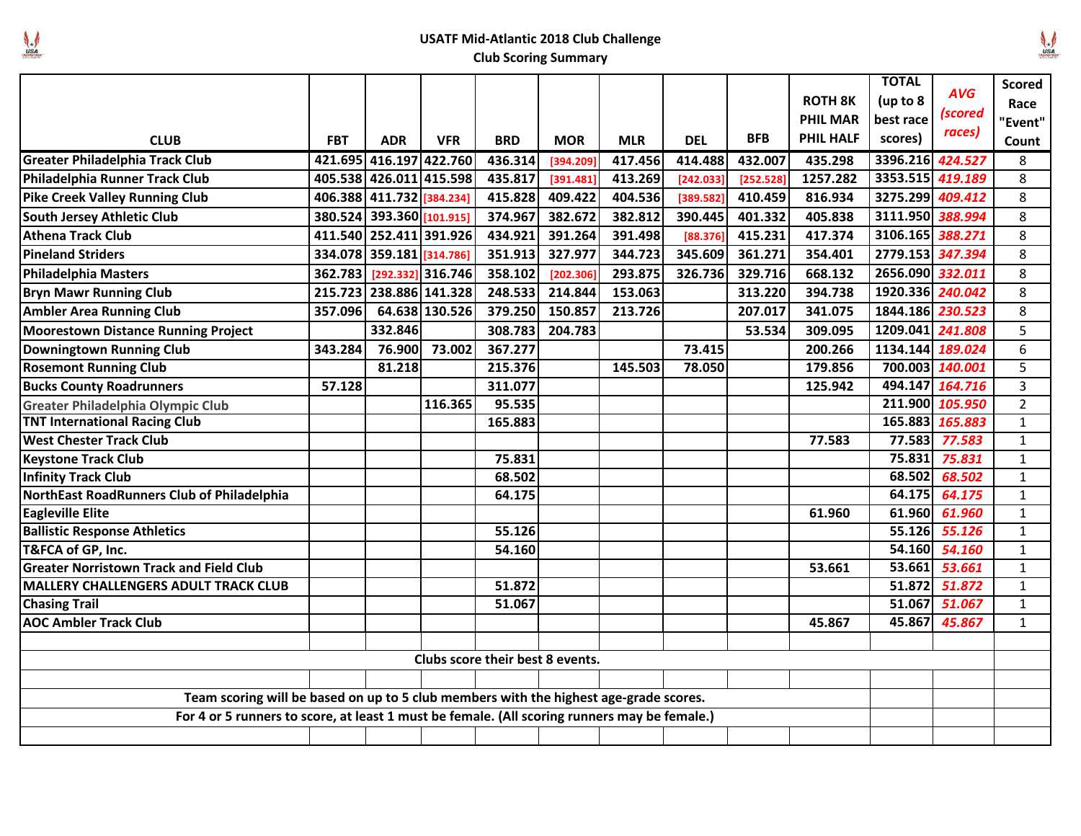## $\begin{matrix} \downarrow \\ \downarrow \\ \downarrow \end{matrix}$

## **USATF Mid-Atlantic 2018 Club Challenge**

## **Club Scoring Summary**

|                                                                                              |            |                           |                   |            |            |            |            |            |                  | <b>TOTAL</b>     |                 | <b>Scored</b>  |
|----------------------------------------------------------------------------------------------|------------|---------------------------|-------------------|------------|------------|------------|------------|------------|------------------|------------------|-----------------|----------------|
|                                                                                              |            |                           |                   |            |            |            |            |            | <b>ROTH 8K</b>   | (up to 8         | <b>AVG</b>      | Race           |
|                                                                                              |            |                           |                   |            |            |            |            |            | <b>PHIL MAR</b>  | best race        | (scored         | "Event"        |
| <b>CLUB</b>                                                                                  | <b>FBT</b> | <b>ADR</b>                | <b>VFR</b>        | <b>BRD</b> | <b>MOR</b> | <b>MLR</b> | <b>DEL</b> | <b>BFB</b> | <b>PHIL HALF</b> | scores)          | races)          | Count          |
| <b>Greater Philadelphia Track Club</b>                                                       |            | 421.695 416.197 422.760   |                   | 436.314    | [394.209]  | 417.456    | 414.488    | 432.007    | 435.298          | 3396.216 424.527 |                 | 8              |
| Philadelphia Runner Track Club                                                               |            | 405.538 426.011 415.598   |                   | 435.817    | [391.481]  | 413.269    | [242.033]  | [252.528]  | 1257.282         | 3353.515 419.189 |                 | 8              |
| <b>Pike Creek Valley Running Club</b>                                                        |            | 406.388 411.732 384.234]  |                   | 415.828    | 409.422    | 404.536    | [389.582]  | 410.459    | 816.934          | 3275.299 409.412 |                 | 8              |
| South Jersey Athletic Club                                                                   |            | 380.524 393.360 [101.915] |                   | 374.967    | 382.672    | 382.812    | 390.445    | 401.332    | 405.838          | 3111.950 388.994 |                 | 8              |
| <b>Athena Track Club</b>                                                                     |            | 411.540 252.411 391.926   |                   | 434.921    | 391.264    | 391.498    | [88.376]   | 415.231    | 417.374          | 3106.165 388.271 |                 | 8              |
| <b>Pineland Striders</b>                                                                     | 334.078    | 359.181 [314.786]         |                   | 351.913    | 327.977    | 344.723    | 345.609    | 361.271    | 354.401          | 2779.153 347.394 |                 | 8              |
| <b>Philadelphia Masters</b>                                                                  | 362.783    |                           | [292.332] 316.746 | 358.102    | [202.306]  | 293.875    | 326.736    | 329.716    | 668.132          | 2656.090 332.011 |                 | 8              |
| <b>Bryn Mawr Running Club</b>                                                                | 215.723    |                           | 238.886 141.328   | 248.533    | 214.844    | 153.063    |            | 313.220    | 394.738          | 1920.336 240.042 |                 | 8              |
| <b>Ambler Area Running Club</b>                                                              | 357.096    |                           | 64.638 130.526    | 379.250    | 150.857    | 213.726    |            | 207.017    | 341.075          | 1844.186 230.523 |                 | 8              |
| Moorestown Distance Running Project                                                          |            | 332.846                   |                   | 308.783    | 204.783    |            |            | 53.534     | 309.095          | 1209.041         | 241.808         | 5              |
| Downingtown Running Club                                                                     | 343.284    | 76.900                    | 73.002            | 367.277    |            |            | 73.415     |            | 200.266          | 1134.144 189.024 |                 | 6              |
| <b>Rosemont Running Club</b>                                                                 |            | 81.218                    |                   | 215.376    |            | 145.503    | 78.050     |            | 179.856          |                  | 700.003 140.001 | 5              |
| <b>Bucks County Roadrunners</b>                                                              | 57.128     |                           |                   | 311.077    |            |            |            |            | 125.942          |                  | 494.147 164.716 | 3              |
| Greater Philadelphia Olympic Club                                                            |            |                           | 116.365           | 95.535     |            |            |            |            |                  |                  | 211.900 105.950 | $\overline{2}$ |
| <b>TNT International Racing Club</b>                                                         |            |                           |                   | 165.883    |            |            |            |            |                  |                  | 165.883 165.883 | $\mathbf{1}$   |
| <b>West Chester Track Club</b>                                                               |            |                           |                   |            |            |            |            |            | 77.583           | 77.583           | 77.583          | $\mathbf 1$    |
| <b>Keystone Track Club</b>                                                                   |            |                           |                   | 75.831     |            |            |            |            |                  | 75.831           | 75.831          | $\mathbf 1$    |
| <b>Infinity Track Club</b>                                                                   |            |                           |                   | 68.502     |            |            |            |            |                  | 68.502           | 68.502          | $\mathbf{1}$   |
| NorthEast RoadRunners Club of Philadelphia                                                   |            |                           |                   | 64.175     |            |            |            |            |                  | 64.175           | 64.175          | $\mathbf 1$    |
| <b>Eagleville Elite</b>                                                                      |            |                           |                   |            |            |            |            |            | 61.960           | 61.960           | 61.960          | $\mathbf 1$    |
| <b>Ballistic Response Athletics</b>                                                          |            |                           |                   | 55.126     |            |            |            |            |                  | 55.126           | 55.126          | $\mathbf{1}$   |
| T&FCA of GP, Inc.                                                                            |            |                           |                   | 54.160     |            |            |            |            |                  | 54.160           | 54.160          | $\mathbf{1}$   |
| <b>Greater Norristown Track and Field Club</b>                                               |            |                           |                   |            |            |            |            |            | 53.661           | 53.661           | 53.661          | $\mathbf{1}$   |
| MALLERY CHALLENGERS ADULT TRACK CLUB                                                         |            |                           |                   | 51.872     |            |            |            |            |                  | 51.872           | 51.872          | $\mathbf{1}$   |
| <b>Chasing Trail</b>                                                                         |            |                           |                   | 51.067     |            |            |            |            |                  | 51.067           | 51.067          | $\mathbf{1}$   |
| <b>AOC Ambler Track Club</b>                                                                 |            |                           |                   |            |            |            |            |            | 45.867           | 45.867           | 45.867          | $\mathbf{1}$   |
|                                                                                              |            |                           |                   |            |            |            |            |            |                  |                  |                 |                |
| Clubs score their best 8 events.                                                             |            |                           |                   |            |            |            |            |            |                  |                  |                 |                |
|                                                                                              |            |                           |                   |            |            |            |            |            |                  |                  |                 |                |
| Team scoring will be based on up to 5 club members with the highest age-grade scores.        |            |                           |                   |            |            |            |            |            |                  |                  |                 |                |
| For 4 or 5 runners to score, at least 1 must be female. (All scoring runners may be female.) |            |                           |                   |            |            |            |            |            |                  |                  |                 |                |
|                                                                                              |            |                           |                   |            |            |            |            |            |                  |                  |                 |                |